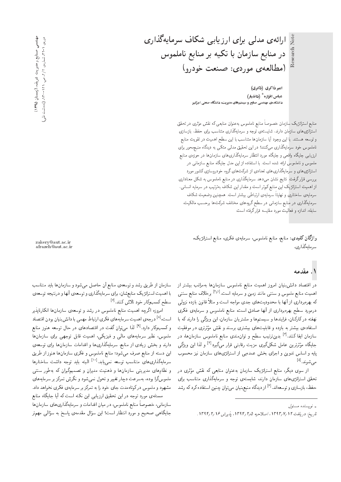Note

امیر ذاکری (دکتری) عباس افزازه $^{\ast}$  (دانشیار) دانشکدهی مهندسی صنایع و سیستمهای مدیریت، دانشگاه صنعتی امیرکبیر

(مطالعهي موردي: صنعت خودرو)

ارائهی مدلی برای ارزیابی شکاف سرمایهگذاری

در منابع سازمان با تکیه بر منابع ناملموس

منابع استراتژیک سازمان خصوصا منابع ناملموس به عنوان منابعی که نقش مؤثری در تحقق<br>است ر<br>. استراتژی های سازمان دارند. شایستهی توجه و سرمایهگذاری متناسب برای حفظ، بازسازی<br>-و توسعه هستند. با این وجود آیا سازمانها متناسب با این سطح اهمیت در تقویت منابع ناملموس خود سرمایهگذاری میکنند؟ در این تحقیق مدلمی متکبی به دیدگاه منبعهمحور برای ارزیابی جایگاه واقعی و جایگاه مورد انتظار سرمایهگذاری های سازمان ها در حوزه ی منابع ملموس و ناملموس ارائه شده است. با استفاده از این مدل جایگاه منابع سازمانبی در استراتژی های و سرمایهگذاری های تعدادی از شرکت های گروه خودروسازی کشور مورد بررسی قرار گرفت. نتایج نشان میدهد سرمایهگذاری در منابع ناملموس به شکل معناداری از اهمیت استراتژیک این منابع کمتر است و مقدار این شکاف بهترتیب در سرمایه انسانی، سرمایهی ساختاری و نهایتاً سرمایهی ارتباطی بیشتر است. همچنین وضعیت شکاف سرمایهگذاری در منابع سازمانی در سطح گروههای مختلف شرکتها برحسب مالکیت. سابقه، اندازه و فعالیت مورد مقایسه قرارگرفته است.

واژگان کلیدی: منابع منابع ناملموس، سرمایهی فکری، منابع استراتژیک، سرمايەگذارى.

#### ۱. مقدمه

در اقتصاد دانش;نیان امروز اهمیت منابع ناملموس سازمانها بهمراتب بیشتر از اهمیت منابع ملموس و سنتبی مانند زمین و سرمایه است.<sup>[15]</sup> برخلاف منابع سنتبی<br>بر مسلمان آنها با سنتبی میشد که بهرهبرداری از آنها با محدودیت های جدی مواجه است و مثلا قانون بازده نزولی<br>ا درمورد سطح بهرهبرداری از آنها صادق است، منابع ناملموس و سرمایهی فکری نهفته در کارکنان، فرایندها و سیستمها و مشتریان سازمان، این ویژگی را دارند که با استفادهی بیشتر به بازده و قابلیت۵های بیشتری برسند و نقش مؤثرتری در موفقیت<br>سایر استانکنند آقمانی و موسط - سازمان ایفا کنند.<sup>[۳]</sup> بدینترتیب سطح و توان.ندی منابع ناملموس سازمان ها، در<br>بارگل عدم مدیر ایل میکرگ جایگاه مؤثرترین عامل شکلگیری مزیت رقابتی قوار میگیرد<sup>[۲]</sup> و لذا این ویژگی<br>ا - پایه و اساس تدوین و اجرای بخش عمدهیی از استراتژیهای سازمان نیز محسوب<br>مصدر اهل مىشوند.<sup>[۵]</sup><br>"

از سوی دیگر، منابع استراتژیک سازمان بهعنوان منابعی که نقش مؤثری در<br>بار باید باید ایران این دوران استفاده - تحقق استراتژی،های سازمان دارند، شایستهی توجه و سرمایهگذاری متناسب برای<br>منظمات استکشفی استفاده ایجاد حفظ، بازسازی و توسعهاند.<sup>[۶]</sup> از دیدگاه منبعبنیان می¤وان چنین استفاده کرد که رشد<br>.

ے، (رمستان ۱۳۹۵) د

صنایع و مدیریت شریف مهندسی صنایع و مدیریت شریف، (زمستان ۱۳۹۵) دوروی ۱ - ۳۲، شماروی ۱۲/۲ ص. ۱۲۱-۲۰-۲۵. (یادداشت فشی)

دوروی ۱–۲۲ شماروی ۱/۲ ص. ۱۲۱-۲۳. (یادداشت فنی

zakery@aut.ac.ir afrazeh@aut.ac.ir

سازمان از طریق رشد و توسعه، منابع آن حاصل میشود و سازمان ها باید متناسب با اهمیت استراتژیک منابع شان، برای سرمایهگذاری و توسعهی آنها و درنتیجه توسعهی سطح کسبوکار خود تلاش کنند.<sup>[۷]</sup><br>گ

- امروزه اگرچه اهمیت منابع ناملموس در رشد و توسعهی سازمان۵ها انکارناپذیر است،<sup>ام</sup>ا درجه ی اهمیت سرمایه های فکری ارتباط مهمی با دانش بنیان بودن اقتصاد<br>ک و کسبوکار دارد.<sup>[۹]</sup> لذا میتوان گفت در اقتصادهای در حال توسعه هنوز منابع<br>با ملموس، نظیر سرمایههای مالمی و فیزیکی، اهمیت قابل توجهی برای سازمانها دارند و بخش زیادی از منابع، سرمایهگذاریها و اقدامات سازمانها برای توسعهی این دسته از منابع صرف میشود؛ منابع ناملموس و فکری سازمان ها هنوز از طریق سرمایهگذاری،های متناسب توسعه نمی،یابد.<sup>[۱۱]</sup> البته باید توجه داشت ساختارها<br>منظلما و نظامهای مدیریتی سازمانها و ذهنیت مدیران و تصمیمگیران که بهطور سنتی ملموسگرا بوده، بهسرعت دچار تغییر و تحول نمی شود و نگرش تمرکز بر سرمایههای مشهود و ملموس در کوتاهمدت جای خود را به تمرکز بر سرمایهی فکری نخواهد داد. مسئلهى مورد توجه در اين تحقيق ارزيابي اين نكته است كه أيا جايگاه منابع سازمانی، خصوصاً منابع ناملموس، در میان اقدامات و سرمایهگذاریهای سازمانها جایگاهی صحیح و مورد انتظار است؟ این سؤال مقدمهی پاسخ به سؤالی مهم;ر<br>.

<sup>»</sup> نويسنده مسئول

تاريخ: دريافت ١٣٩٣/٧/١٣٩٣، اصلاحيه ١٣٩٤/ ١٣٩٤، بذيرش ١٣٩٤/ ١٣٩٤.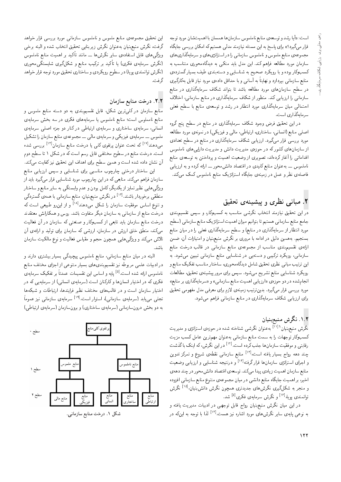است: «أيا رشد و توسعه ي منابع ناملموس سازمان ها همسان با اهميت شان مورد توجه قرار میگیرد؟» برای پاسخ به این مسئله نیازمند مدلی هستیم که امکان بررسی جایگاه مجموعهى منابع ملموس و ناملموس سازماني را در استراتژي هاي و سرمايهگذاري هاي سازمان مورد مطالعه فراهم کند. این مدل باید متکمی به دیدگاهمحوری متناسب به كسبوكار بوده و با رويكرد صحيح به شناسايي و دستهبندي طيف بسيار گستردهي منابع سازمانی بپردازد و نهایتا به آسانی و با حداقل دادهی مورد نیاز قابل بهکارگیری<br>اما میتوان است است است است است است است است کان در سطح سازمانهای مورد مطالعه باشد تا بتواند شکاف سرمایهگذاری در منابع سازمانی را ارزیابی کند. منظور از شکاف سرمایهگذاری در منابع سازمانی، اختلاف |حتمالی میان سرمایهگذاری مورد انتظار در رشد و توسعهی منابع با سطح فعلی سرمايەگذارى است.

در این تحقیق فرض وجود شکاف سرمایهگذاری در منابع در سطح پنج گروه اصلبی منابع (انسانبی، ساختاری، ارتباطی، مالبی و فیزیکهی) در نمونهی مورد مطالعه مورد بررسی قرار میگیرد. ارزیابی شکاف سرمایهگذاری در منابع در سطح تعدادی از سازمان های کشور که در حوزهی مدیریت دانش و مدیریت دارایی های ناملموس اقداماتی را آغاز کردهاند، تصویری از وضعیت اهمیت و پرداختن به توسعهی منابع ناملموس \_\_ به عنوان منابع کلیدی در اقتصاد دانش.محور \_\_ ارائه کرده و به ارزیابی فاصلهى نظرو عمل در زمينهى جايگاه استراتژيک منابع ناملموس کمک مىکند.

### ۲. مبانی نظری و پیشینهی تحقیق

<mark>در</mark> این تحقیق نیازمند انتخاب نگرشی مناسب به کسبوکار، و سپس تقسیم<sub>ا</sub>بندی جامع منابع سازماني هستيم تا بتوانيم ميزان اهميت استراتزيک منابع سازماني (سطح مورد انتظار از سرمایهگذاری در منابع) و سطح سرمایهگذاری فعلمی را در میان منابع بسنجیم. بههمین دلیل در ادامه با مروری بر نگرش منبع,بنیان و امتیازات آن، ضمن ارائهى تقسيمبندى مناسب از مجموعهى منابع سازمانى در قالب درخت منابع سازمانی، رویکرد ترکیبی و دستهیی در شناسایی منابع سازمانی تبیین میشود. به این ترتیب مبانی نظری تحقیق شامل دیدگاهمحوری، ساختار مناسب تفکیک منابع و رو یکرد شناسایی منابع تشریح میشود. سپس برای مرور پیشینهی تحقیق، مطالعات انجام شده در دو حوزه $\,$  «ارزيابي اهميت منابع سازماني» و «سرمايهگذاري بر منابع» مورد بررسی قرار میگیرد. بدین ترتیب زمینهی لازم برای معرفی مدل مفهومی تحقیق برای ارزیابی شکاف سرمایهگذاری در منابع سازمانی فراهم میشود.

### ۰۱.۲ نگرش منبعبنیان

نگرش منبع بنیان<sup>(۱۱۱</sup> به عنوان نگرشی شناخته شده در حوزه، استراتژی و مدیریت<br>بر كسبوكار توجهات را به سمت منابع سازماني بهعنوان مهمترين عامل كسب مزيت رقابتی و موفقیت سازمان ها جلب کرده است.'<sup>۱۲۱</sup> در این نگرش، که اینک با گذشت<br>۱<sup>۲۲]</sup> است. این این ایران ایران ایران چند دهه رواج بسیار یافته است.<sup>[۱۲]</sup> منابع سازمانی نقطهی شروع و تمرکز تدوین<br>پاساساسات و اجرای استرانژی سازمان ها قرار گرفته<sup>[۱۲]</sup> و درنتیجه شناسایی و ارزیابی وضعیت<br>مال سالمان استفاده منابع سازمان اهميت زيادي پيدا مىكند. توسعهى اقتصاد دانش محور در چند دههى اخیر، بر اهمیت جایگاه منابع دانشی در میان مجموعهی متنوع منابع سازمانی افزوده و منجر به شکلگیری نگرش های جدیدتری همچون نگرش دانش بنیان <sup>[۱۵</sup> نگرش<br>این ایران ا<sup>97]</sup> مگر تصویر ایران میرا ایران توانمندی پویا،<sup>۱۶</sup>۱ و نگرش سرمایهی فکری<sup>[۵]</sup> شد.<br>مسا

در این میان نگرش منبع بنیان رواج قابل توجهی در ادبیات مدیریت یافته و به نوعی پایهی سایر نگرش۵های مورد اشاره نیز هست.<sup>[۱۲]</sup> لذا با توجه به اینکه <mark>در</mark><br>.

این تحقیق مجموعهى منابع ملموس و ناملموس سازمانى مورد بررسى قرار خواهد گرفت، نگرش منبعهبنیان بهعنوان نگرش زیربنایی تحقیق انتخاب شده و البته برخی ویژگی&ای قابل استفادهی سایر نگرش۵ا ـــ مانند تاکید بر اهمیت منابع ناملموس<br>دیج به سایر منصر به سایر میرسد و بر سایر میریم میرسد میر (نگرش سرمایهی فکری) یا تاکید بر ترکیب منابع و شکلگیری شایستگی.محوری<br>درگر در این مسایل میلمون (نگرش توانمندي يويا) در سطوح رويكردي و ساختاري تحقيق مورد توجه قرار خواهد گرفت.

## ۲.۲. درخت منابع سازمان

منابع سازمان در کلرترین شکل، قابل تقسیم.بندی به دو دسته منابع ملموس و منابع نامملوس است؛ منابع ناملموس یا سرمایههای فکری در سه بخش سرمایهی |نسانی، سرمایهی ساختاری و سرمایهی ارتباطی در کنار دو جزء اصلی سرمایهی ملموس ـــ سرمايهى فيزيكي و سرمايهى مالى ـــ مجموعهى منابع سازمان را تشكيل میدهند<sup>[۱۷]</sup> که تحت عنوان پرتفوی کل<sub>ی</sub> یا درخت منابع سازمان<sup>[۱۲]</sup> بررسی شده<br>ا است. درخت منابع در سطوح مختلفی قابل رسم است که در شکل ۱ تا سطح دوم آن نشان داده شده است و همین سطح برای اهداف این تحقیق نیز کفایت میکند.

این ساختار درختی چارچوب مناسبی برای شناسایی و سپس ارزیابی منابع سازمان فراهم میکند. منابعی که در این چارچوب مورد شناسایی قرار میگیرد باید از ویژگی هایی نظیر تمایز از یکدیگر، کامل بودن و عدم وابستگی به سایر منابع و ساختار منطقی برخوردار باشند.<sup>[۱۲]</sup> در نگرش منبعهبنیان، منابع سازمانی با همهءی گستردگی<br>ستیمر اصل و تنوع اساس موفقیت سازمان را شکل می۵هند<sup>[۱۸]</sup> و از اینرو طبیعی است که<br>مساویات استان درخت منابع از سازمانی به سازمان دیگر متفاوت باشد. روس و همکارانش معتقدند درخت منابع سازمان باید تابعی از کسبوکار و صنعتبی که سازمان در آن فعالیت میکند، منطق خلق ارزش در سازمان، ارزشی که سازمان برای تولید و ارائهی آن تلاش میکند و ویژگی هایی همچون حجم و مقیاس فعالیت و نوع مالکیت سازمان باشد.

البته در میان منابع سازمانی، منابع ناملموس پیچیدگی بسیار بیشتری دارند و در ادبیات علمی مربوطه نیز تقسیم بندی های بسیار متنوعی از اجرای مختلف منابع ناملموس ارائه شده است<sup>01</sup> پایه و اساس این نقسیمات عمدناً بر تفکیک سرمایه ی<br>مصرح مصدر این اساسات ایران کامیاب است. فکری که در اختیار انسانها و کارکنان است (سرمایهی انسانی) از سرمایهیی که در اختیار سازمان است و در قالبهای مختلف نظیر فرایندها، ارتباطات و شبکهها ,=twta R}v |v=tR=U |x}=tQU [19] "CU= Q=wDU= '|v=tR=U |x}=tQU O@=}|t |rHD به دو بخش درون سازمانی (سرمایهی ساختاری) و برون سازمان (سرمایهی ارتباطی)



۰۱ درخت منابع سازمانی.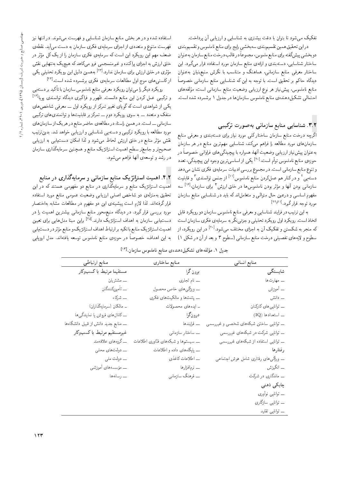تفکیک می شود تا بتوان با دقت بیشتری به شناسایی و ارزیابی آن پرداخت.

دراين تحقيق همين تقسيم بندي سه بخشي رايج براي منابع ناملموس و تقسيم بندي دو بخشيي پيش گفته براي منابع ملموس، مجموعاً در قالب درخت منابع سازمان به عنوان ساختار شناسایی، دستهبندی و ارائهی منابع سازمان مورد استفاده قرار میگیرد. این ساختار معرفی منابع سازمانی، هماهنگ و متناسب با نگرش منبعبنیان بهعنوان دیدگاه حاکم بر تحقیق است. با توجه به این که شناسایی منابع سازمانی خصوصاً منابع ناملموس، پیش نیاز هر نوع ارزیابی وضعیت منابع سازمانی است، مؤلفههای<br>اسمبال حدکیا مستقدر - احتمالی تشکیلدهندهی منابع ناملموس سازمانها در جدول ۱ برشمرده شده است.<br>-

### ۳.۲. شناسایی منابع سازمانی بهصورت ترکیبی

اگرچه درخت منابع سازمان ساختارکلمی مورد نیاز برای دستهبندی و معرفی منابع سازمانهای مورد مطالعه را فراهم میکند، شناسایی مهمترین منابع در هر سازمان بهءنوان پیش نیاز ارزیابی وضعیت آنها، همواره با پیچیدگی های فراوانی خصوصاً در حوزهى منابع ناملموس توأم است.<sup>[11</sup> يكى از اساسى ترين وجوه اين پيچيدگى، تعدد<br>. و تنوع منابع سازماني است. در مجموع بررسي ادبيات سرمايهي فكرى نشان مى دهد دسته یی <sup>۲</sup> و درکنار هم عملکردن منابع ناملموس<sup>۱۱۱</sup> از جنس توانمندی ۳ و قابلیت<br>پاییان سازمانی بودن آنها و مؤثر بودن ناملموس۵ا در خلق ارزش<sup>۴</sup> برای سازمان<sup>[۱۶]</sup> سه<br>مقدسات استان u=tR=U `@=vt |}=U=vW QO O}=@ xm Ov=pt=aDt w |r=wDt p=L u}aQO w |U=U= swyit مورد توجه قرارگیرد.<sup>[۲۲٫۲۱]</sup><br>ا

به این ترتیب در فرایند شناسایی و معرفی منابع ناملموس سازمان دو رویکرد قابل اتخاذ است. رو یکرد اول رو یکرد تحلیلی و جزئی نگر به سرمایهی فکری سازمان است که منجر به شکستن و تفکیک آن به اجزای مختلف میشود.<sup>[۲۰]</sup> در این رویکرد، از<br>ماه مسلح است و است سطوح و لايههاى تفصيلى درخت منابع سازمانى (سطوح ٣ و بعد از آن در شكل ١)

استفاده شده و در هر بخش منابع سازمان شناسایی و فهرست میشوند. در انتها نیز فهرست متنوع و متعددي از اجزاي سرمايهي فكرى سازمان به دست مي آيد. نقطهي ضعف مهم این رویکرد این است که سرمایهی فکری سازمان را از یک کل مؤثر در<br>ما برای برای ایران ایمن - خلق ارزش به اجزای پراکنده و غیرمنسجمی فرو میکاهد که هیچیک بهتنهایی نقش<br>عنوی استفاده استفاده استفاده استفاده مؤثری در خلق ارزش برای سازمان ندارد.<sup>[۲۲]</sup> به همین دلیل این رویکرد تحلیلی یکی<br>ایکا موری در سی ارزش بوی مسرودن مسرود.<br>از کاستی های موج اول مطالعات سرمایهی فکری برشمرده شده است.<sup>[۱۲]</sup><br>کرم مسترک

رو یکرد دیگر را می توان رو یکرد معرفی منابع ناملموس سازمان با تاکید بر دستهیی<br>ایک مطلب کرده است با ایران و ترکیبی عمل کردن این منابع دانست. ظهور و فراگیری دیدگاه توانمندی پویا<sup>[۱۶]</sup><br>کرمیا مدارست کرگرام میتوان و توانست کرمی از یکمی از شواهدی است که گویای تغییر تمرکز از رویکرد اول ـــ معرفی شاخص های منفک و متعدد ـــ به سوی رویکرد دوم ـــ تمرکز بر قابلیتها و توانمندیهای ترکیبی سازمانی \_\_ است. در همین راستا، در مطالعهی حاضر منابع در هر یک از سازمان های مورد مطالعه با رويكرد تركيبي و دسته يي شناسايي و ارزيابي خواهد شد. بدين ترتيب |@=}RQ= x@ |@=}CUO u=mt= =Pr w OwW|t ^=Lr VRQ= jrN QO `@=vt QF wt Vkv - صحیح تر و جامع تر سطح اهمیت استراتژیک منابع و همچنین سرمایهگذاری سازمان<br>منصوصیت در رشد و توسعهى أنها فراهم مى شود.

۴.۲. اهمیت استراتژیک منابع سازمانی و سرمایهگذاری در منابع آهمیت استراتژیک منابع و سرمایهگذاری در منابع دو مفهومی هستند که در این تحقیق بهمنزلهی دو شاخص اصلی ارزیابی وضعیت عمومی منابع مورد استفاده قرار گرفتهاند. لذا لازم است پیشینهی این دو مفهوم در مطالعات مشابه بهاختصار مورد بررسی قرار گیرد. در دیدگاه منبعهمحور منابع سازمانی بیشترین اهمیت را در دست،یابی سازمان به اهداف استراتژیک دارند.<sup>[۲۵]</sup> براین مبنا مدل%هایی برای تعیین<br>است است که مسابق کورول اینک ساخته است است است که مسئله منفقه اهمیت استراتژیک منابع با تکیه بر ارتباط اهداف استراتژیک و منابع مؤثر در دستیابی<br>المساحلین استراتژیک منابع .<br>ا به این اهداف، خصوصا در حوزهی منابع ناملموس توسعه یافتهاند. مدل اروپایی<br>.

جدول ۱. مؤلفههای تشکیلدهندهی منابع ناملموس سازمان.<sup>[۱۴]</sup>

| منابع انسانى                            | منابع ساختاري                         | منابع ارتباطي                       |
|-----------------------------------------|---------------------------------------|-------------------------------------|
| شایستگی                                 | برون گرا                              | مستقيما مرتبط باكسبوكار             |
| ۔۔ مهارت ها                             | ے نام تجاری                           | ــــ مشتريان                        |
| ۔۔ آموزش                                | ے ویژگی ہای خاص محصول                 | ـــ تأمين كنندگان                   |
| ۔۔ دانش                                 | _ پتنت ها و مالکیت های فکری           | ـــ شركاء                           |
| ۔۔ توانایی های کارکنان                  | ۔ ایدہ های محصولات                    | ـ مالكان (سرمايەگذاران)             |
| $(IQ)$ استعدادها                        | درونگرا                               | ـ كانال هاى فروش يا نمايندگى ها     |
| ۔۔ توانایی ساختن شبکههای شخصی و غیررسمی | ــــ فرايندها                         | ے منابع جدید دانش از قبیل دانشگاهها |
| ـــ توانایی شرکت در شبکههای غیررسمی     | _ ساختار سازمانى                      | غيرمستقيم مرتبط باكسبوكار           |
| ـــ توانایی استفاده از شبکههای غیررسمی  | _ سیستم ها و شبکه های فنّاوری اطلاعات | ـــ گروههای علاقهمند                |
| رفتارها                                 | _ پایگا.های داد. و اطلاعات            | _ دولت های محلی                     |
| ۔۔ ویژگی ہای رفتاری شامل ہوش اجتماعی    | ــ اطلاعات كاغذى                      | ــــ دولت ملي                       |
| ۔۔ انگیزش                               | ــــ نرم فزارها                       | ــــ مؤسسههای أموزشی                |
| ۔۔ ماندگاری در شرکت                     | ـــ فرهنگ سازمانبي                    | _ رسانه ها                          |
| چابکی ذهنی                              |                                       |                                     |
| ۔۔ توانایبی نوآوری                      |                                       |                                     |
| ۔۔ توانایی سازگاری                      |                                       |                                     |
| ۔۔ توانایبی تقلید                       |                                       |                                     |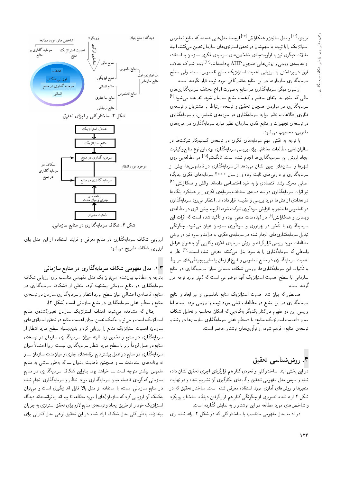مریتوم<sup>1۲۶</sup> و مدل سانچز و همکارانش<sup>(۱۲۷</sup> ازجمله مدل هایی هستند که منابع ناملموس<br>استاد کوداراست استراتزيك را با توجه به سهمشان در تحقق استراتزىهاى سازمان تعيين مى كنند. البته مقالات دیگری نیز به اولویتبندی شاخصهای سرمایهی فکری سازمان با استفاده از مقايسهى زوجي و روش هايي همچون AHP پرداختهاند.<sup>[۲۰]</sup> وجه اشتراک مقالات<br>. .<br>فوق در برداختن به ارزیابی اهمیت استراتژیک منابع ناملموس است، ول<sub>ی</sub> سطح سرمايهگذارى سازمان ها در اين منابع بهقدر كافى مورد توجه قرار نگرفته است.

|ز سوی دیگر، سرمایهگذاری در منابع بهصورت انواع مختلف سرمایهگذاری های مال<sub>ی</sub> که منجر به ارتقای سطح و کیفیت منابع سازمان شود، تعریف میشود.<sup>[۶]</sup><br>اگنا سرمایهگذاری در مواردی همچون تحقیق و توسعه، ارتباط با مشتریان و توسعهی فتّاوری اطلاعات، نظیر موارد سرمایهگذاری در حوزههای ناملموس، و سرمایهگذاری در توسعهءی تجهیزات و منابع نقدی سازمان، نظیر موارد سرمایهگذاری در حوزههای ملموس، محسوب مي شود.

با توجه به نقش مهم سرمایههای فکری در توسعهی کسبوکار شرکتها در ساليان اخير، مطالعات مختلفي براي بررسي سرمايهگذاري روي اين نوع منابع وكيفيت ایجاد ارزش این سرمایهگذاری ها انجام شده است. تانگشو<sup>[۲۸]</sup> در مطالعه بی روی<br>مسلمان ایران شهرها و استانهای چین نشان میدهد اثر سرمایهگذاری در ناملموس۵ا، بیش از سرمایهگذاری بر دارایی های ثابت بوده و از سال °°°۲ سرمایههای فکری جایگاه اصلی محرک رشد اقتصادی را به خود اختصاص دادهاند. والش و همکارانش<sup>[۲۹]</sup> نیز اثرات سرمایهگذاری در سه دسته ی مختلف سرمایه ی فکری را بر عملکرد بنگاهها در تعدادي از هتل ها مورد بررسي و مقايسه قرار دادهاند. انتظار مي رود سرمايهگذاري در ناملموس ها منجر به افزایش سودآوری شرکت شود، اگرچه چنین اثری در مطالعهی ویسانن و همکارانش<sup>[۶]</sup> در کوتاهمدت منفی بوده و تأکید شده است که اثرات این<br>ایران این مسلمان سرمایهگذاری با تأخیر در بهرهوری و سودآوری سازمان عیان میشود. چگونگی تبدیل سرمایهگذاری های انجام شده در سرمایهی فکری به درآمد و سود نیز در برخی مطالعات مورد بررسي قرارگرفته و ارزش سرمايهى فكرى وكارايي أن به عنوان عوامل واسطی که سرمایهگذاری را به سود بدل میکنند، معرفی شده است.<sup>[۳۰]</sup> نظر به<br>ا اهمیت سرمایهگذاری در منابع ناملموس و فارغ از زمان یا سایر پیچیدگهیهای مربوط به تاثیرات این سرمایهگذاری۵ما، بررسی شکافاحتمالی میان سرمایهگذاری در منابع<br>بایران بولمبیطر ایران این کوتک از اینکوتک سازمانی با سطح اهمیت استراتژیک آنها موضوعی است که کم تر مورد توجه قرار گرفته است.

همانطور که بیان شد اهمیت استراتژیک منابع ناملموس و نیز ابعاد و نتایج سرمایهگذاری در این منابع در مطالعات قبلمی مورد توجه و بررسی بوده است، اما بررسی این دو مفهوم در کنار یکدیگر بهگونهیی که امکان محاسبه و تحلیل شکاف میان «اهمیت استراتژیک منابع» با «سطح فعلمی سرمایهگذاری سازمانها در رشد و توسعه منابع» فراهم شود، از نوأورى هاى نوشتار حاضر است.

### وش شناسی تحقیق " $\mathbf y$

در این بخش ابتدا ساختارکلی و نحوهی کنار هم قرارگرفتن اجزای تحقیق نشان داده شده و سپس مدل مفهومی تحقیق و گامهای بهکارگیری آن تشریح شده و در نهایت متغیرها و روشهای آماری مورد استفاده معرفی شده است. ساختار تحقیق که در شکل ۲ ارائه شده، تصویری از چگونگی کنار هم قرار گرفتن دیدگاه، ساختار، رویکرد و شاخص های مورد مطالعه در این نوشتار را به نمایش گذارده است.

در ادامه مدل مفهومی متناسب با ساختار کلی که در شکل ۲ ارائه شده برای



شکل ۳. شکاف سرمایهگذاری در منابع سازمانی.

ارزیابی شکاف سرمایهگذاری در منابع معرفی و فرایند استفاده از این مدل برای ارزيابي شكاف تشريح مي شود.

#### ۱.۳. مدل مفهومی شکاف سرمایهگذاری در منابع سازمان<sub>ی</sub>

باتوجه به مطالب بیانشده، میتوان یک مدل مفهومی مناسب برای ارزیابی شکاف سرمایهگذاری در منابع سازمان<sub>ی</sub> پیشنهاد کرد. منظور از «شکاف سرمایهگذاری در منابع» فاصلهى احتمالي ميان سطح مورد انتظار از سرمايهگذاري سازمان در توسعهى منابع و سطح فعلي سرمايهگذاري در منابع سازماني است (شكل ٣).

چنان که مشاهده میشود، اهداف استراتژیک سازمان تعیینکنندهی منابع استراتژیک است و می توان بهکمک تعیین میزان اهمیت منابع در تحقق استراتژی های سازمان، اهمیت استراتژیک منابع را ارزیابی کرد و بدینوسیله سطح مورد انتظار از سرمایهگذاری در منابع را تخمین زد. البته میزان سرمایهگذاری سازمان در توسعه $\sigma$ منابع در عمل لزوما برابر با سطح مورد انتظار سرمايهگذارى نيست، زيرا احتمالا ميزان<br>التحقيق سرمایهگذاری در منابع در عمل بیشتر تابع برنامههای جاری و میان.مدت سازمان ـــ و نه برنامههای بلندمدت ــــ و همچنین ذهنیت مدیران ـــ که بهطور سنتبی به منابع ملموس بیشتر متوجه است ـــ خواهد بود. بنابراین شکاف سرمایهگذاری در منابع سازمانی که گویای فاصله میان سرمایهگذاری مورد انتظار و سرمایهگذاری انجام شده در منابع سازمانی است، با استفاده از مدل بالا قابل اندازهگیری است و می توان بهکمک آن ارزیابی کرد که سازمان(های) مورد مطالعه تا چه اندازه توانستهاند دیدگاه استراتزیک خود را از طریق ایجاد و توسعه ی منابع لازم برای تحقق استراتژی به جریان بیندازند. بهطورکلی مدل شکاف ارائه شده در این تحقیق نوعی مدل کنترلی برای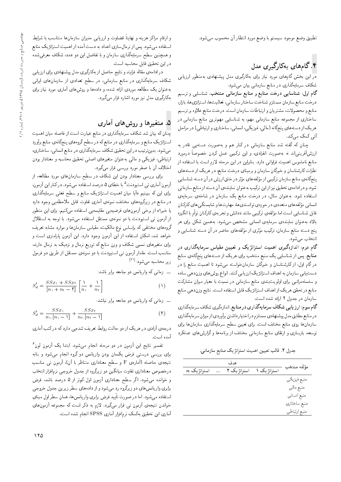تطبيق وضع موجود سيستم با وضع مورد انتظار أن محسوب مىشود.

## ۴.گامهای بهکارگیری مدل

در این بخش گامهای مورد نیاز برای بهکارگیری مدل پیشنهادی بهمنظور ارزیابی شکاف سرمایهگذاری در منابع سازمانی بیان میشود.

گام اول: شناسایی درخت منابع و منابع سازمانی منتخب. شناسایی و ترسیم درخت منابع سازمان مستلزم شناخت ساختار سازماني، فعاليت ها، استراتژي ها، بازار، منابع و محصولات، مشتريان و ارتباطات سازمان است. درخت منابع علاوه بر ترسيم ساختاری از مجموعه منابع سازمانی مهم، به شناسایی مهمترین منابع سازمانی در هر یک از دسته های پنجگانه (مالیي، فیزیکی، انسانی، ساختاری و ارتباطی) در مراحل آتی کمک می,کند.

چنان که گفته شد منابع سازمانی در کنار هم و بهصورت دستهیی قادر به ارزشآفرینی|ند نه بهصورت انفرادی، و این ترکیبی عمل کردن خصوصاً درمورد منابع ناملموس اهميت فراوانى دارد. بنابراين در اين مرحله لازم است با استفاده از نظرات کارشناسان و خبرگان سازمان و برمبنای درخت منابع، در هریک از دستههای پنجگانهی منابع سازمان ترکیبی از مؤلفههای مؤثر در خلق ارزش در آن دسته شناسایی<br>. - - شود، و در ادامه ی تحقیق نیز از این ترکیب به عنوان نماینده ی آن دسته از منابع سازمانی<br>استفاد است استفاده شود. به عنوان مثال، در درخت منابع یک سازمان در شاخهى سرمایهى انسانی مؤلفه های متعددی در حوزهی توانمندی ها، مهارت ها و شایستگی های کارکنان<br>تاریخ بازیاب ایران بازیابی: میکنیم این مساوی می در کنار میگیرد و بازی - قابل شناسایی است اما مؤلفهی ترکیبی مانند «دانش و تجربهی کارکنان توام با انگیزه<br>الامیسید استفاده - بالا» به عنوان نماینده،ی سرمایهی انسانی مشخص میشود. به همین شکل برای هر<br>میده پنج دسته منابع سازمان. ترکیب مؤثری از مؤلفههای حاضر در آن دسته شناسایی و<br>نشخا انتخاب می شود.

گام دوم: اندازهگیری اهمیت استراتژیک و تعیین مقیاس سرمایهگذاری در **منابع**. پس از شناسایی یک منبع منتخب برای هریک از دستههای پنجگانهی منابع در گام اول، از کارشناسان و خبرگان سازمانخواسته میشود تا اهمیت منابع را در دست یابی سازمان به اهداف استراتژیک ارزیابی کنند. انواع روش های وزندهی ساده و سلسله مراتبی برای اولویتبندی منابع سازمانی در نسبت با معیار میزان مشارکت منابع در تحقق هريک از اهداف استراتژيک قابل استفاده است. نتايج وزندهمي منابع سازمان در جدول ٢ ارائه شده است.

گام سوم: ارز یابی شکاف سرمایهگذاری در منابع. اندازهگیری شکاف سرمایهگذاری در منابع مطابق مدل پیشنهادی مستلزم دراختیار داشتن برآوردی از میزان سرمایهگذاری سازمانها روی منابع مختلف است. برای تعیین سطح سرمایهگذاری سازمانها برای توسعه، بازسازی و ارتقای منابع سازمانی مختلف از برنامهها وگزارشهای عملکرد

جدول ٢. قالب تعيين اهميت استراتژيک منابع سازماني.

| $n$ استراتژ یک | . | هدف<br>استراتژیک ۲ | استراتژ یک ۱ | مؤلفه منتخب  |
|----------------|---|--------------------|--------------|--------------|
|                |   |                    |              |              |
|                |   |                    |              | منبع فيزيكي  |
|                |   |                    |              | منبع مالي    |
|                |   |                    |              | منبع انسانى  |
|                |   |                    |              | منبع ساختارى |
|                |   |                    |              | منبع ارتباطي |
|                |   |                    |              |              |

و ارقام مراکز هزینه و نهایتا قضاوت و ارزیابی مدیران سازمان ها متناسب با شرایط<br>استفاده استفاده میشود. پس از نرمالسازی اعداد به دست آمده از اهمیت استراتژیک منابع و همچنین سطح سرمایهگذاری سازمان و با تفاضل این دو عدد، شکاف معرفی شده در این تحقیق قابل محاسبه است.

درادامه ي مقاله فرايند و نتايج حاصل از بهكارگيري مدل پيشنهادي براي ارزيابي شکاف سرمایهگذاری در منابع سازمانی، در سطح تعدادی از سازمانهای ایرانی به عنوان یک مطالعه موردی ارائه شده، و دادهها و روش های آماری مورد نیاز برای بهکارگیری مدل نیز مورد اشاره قرار میگیرد.

## ۵. متغیرها و روشهای آماری

چنان که بیان شد شکاف سرمایهگذاری در منابع عبارت است از فاصله میان اهمیت استراتژیک منابع و سرمایهگذاری در منابع که در سطح گروههای پنجگانهی منابع برآورد میشود. بدینترتیب در این تحقیق شکاف سرمایهگذاری در منابع انسانی، ساختاری، ارتباطی، فیزیکمی و مالی به عنوان متغیرهای اصلی تحقیق محاسبه و معنادار بودن اختلاف أن با صفر مورد بررسی قرار میگیرد.

برای بررسی معنادار بودن این شکاف در سطح سازمانهای مورد مطالعه، از ازمون اماری تی استیودنت<sup>۵</sup> با خطای ۵ درصد استفاده میشود. در کنار این ازمون،<br>با بعد ایران برای این که ببینیم «أیا میان اهمیت استراتزیک منابع و سطح فعل<sub>می</sub> سرمایهگذاری در منابع در زیرگروههای مختلف نمونهی أماری تفاوت قابل ملاحظهیی وجود دارد یا خیر؟» از برخی آزمون های فرضیه یی مقایسه یی استفاده میکنیم. برای این منظور از أزمون تى استيودنت با دو نمونهى مستقل استفاده مى شود. با توجه به استقلال گروههای مختلفی که براساس نوع مالکیت، مقیاس سازمانها و موارد مشابه تعریف خواهد شد، امکان استفاده از این آزمون وجود دارد. این آزمون پارامتری است و برای متغیرهای نسبی شکاف و وزن منابع که توزیع نرمال و نزدیک به نرمال دارند. مناسب است. مقدار آزمون تی استیودنت با دو نمونهی مستقل از طریق دو فرمول زیر محاسبه میشود:<sup>[۳۱]</sup>

ــ زمانى كه واريانس دو جامعه برابر باشد:

$$
S_d^{\dagger} = \frac{SSx_1 + SSx_1}{[n_1 + n_1 - \mathbf{t}]} \left[ \frac{1}{n_1} + \frac{1}{n_1} \right] \tag{1}
$$

ــ زمانی که واریانس دو جامعه برابر نباشد:

$$
S_d^{\dagger} = \frac{SSx_1}{n_1 \cdot [n_1 - 1]} + \frac{SSx_1}{n_1 \cdot [n_1 - 1]}
$$
 (1)

درجهی آزادی در هریک از دو حالت روابط تعریف شدهیی دارد که درکتب آماری آمده است.

تفسیر نتایج این آزمون در دو مرحله انجام میشود. ابتدا یک آزمون لون<sup>۶</sup> برای بررسی درستی فرض یکسان بودن واریانس دو گروه انجام می شود و بنابه نتیجهى حاصله (آمارهى F و سطح معنادارى متناظر با آن). آزمون تى مناسب درخصوص معناداری تفاوت میانگین دو زیرگروه از جدول خروجی نرم|فزار انتخاب و خوانده می شود. اگر سطح معناداری آزمون اول کم تر از ۵ درصد باشد، فرض برابری واریانس های دو زیرگروه رد میشود و از دادههای سطر زیرین جدول خروجی استفاده میشود. اما در صورت تایید فرض برابری واریانس ها، همان سطر اول مبنای<br>میان میشود که تقسیم توسط کردند و کردند کردند کردند ک خواندن نتیجهی آزمون تی قرار میگیرد. لازم به ذکر است که مجموعه آزمونهای آماری این تحقیق بهکمک نرم|فزار آماری SPSS انجام شده است.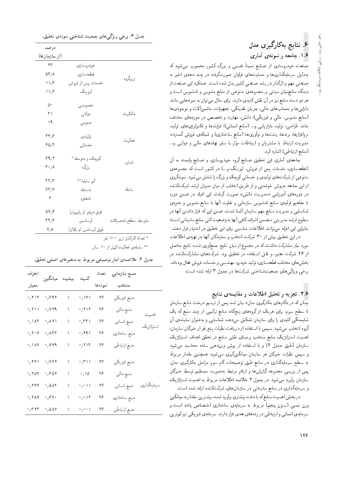## ۶. نـتايج بەكارگىي<sub>ر</sub>ى مدل ۱.۶. جامعه و نمونهی آماری

صنعت خودروسازی از صنایع نسبتاً قدیمی و بزرگ کشور محسوب میشود که<br>ما با مسابقها به دلیل سرمایهگذاری ها و حمایت های فراوان صورتگرفته در چند دههی اخیر به صنعتی مهم و اثرگذار در رشد صنعتی کشور بدل شده است. عملکرد این صنعت از دیدگاه منابع نیان مبتنبی بر مجموعهی متنوعی از منابع ملموس و ناملموس است و هر دو دسته منابع نیز در آن نقش کلیدی دارند. برای مثال می توان به نمونههایی مانند دارایی ها و حساب های مالی، جریان نقدینگی، تجهیزات، ماشینآلات و موجودی ها (منابع ملموس: مالي و فيزيكي)؛ دانش، مهارت و تخصص در حوزههاي مختلف مانند طراحی، تولید، بازاریابی و… (منابع انسانی)؛ فرایندها و تکنولوژیهای تولید. نرمافزارها، برندها، يتنت\$ا و نوآورىها (منابع ساختارى) و شبكهى فروش گسترده، مدیریت ارتباط با مشتریان و ارتباطات مؤثر با سایر نهادهای مالی و دولتی و…<br>۱۰ تا ۱۰ تامل کاشا کرد (منابع ارتباطي) اشاره كرد.

جامعهى أمارى اين تحقيق صنايع گروه خودروسازى و صنايع وابسته به أن (قطعهسازی، خدمات پس از فروش، لیزینگ و…) در کشور است که مجموعهی متنوعي از شركت هاي توليدي و خدماتي كوچك و بزرگ را شامل مي شود. نمونهگيري از این جامعه بهروش خوشهیی و از طریق انتخاب از میان مدیران ارشد شرکتکننده در دورههای آموزشی «مدیریت دانش» صورت گرفت. این افراد در ضمن دوره با مفاهيم اوليه ي منابع ناملموس سازماني و تفاوت أنها با منابع ملموس و نحوهي شناسایی و مدیریت منابع مهم سازمان آشنا شدند، ضمن این که ق<sub>ل</sub>ار داشتن آنها در سطوح ارشد مديريتي متضمن اشراف كافي آنها به وضعيت كلي منابع سازماني است؛ بنابراين اين افراد مى توانند اطلاعات مناسبى براى اين تحقيق در اختيار قرار دهند.

در این تحقیق بیش از ۳۰ شرکت انتخاب و نمایندگان آنها در تهیهی اطلاعات مورد نیاز مشارکت داشتند که در مجموع از میان نتایج جمعآوری شده، نتایج حاصل از ۲۶ شرکت معتبر، و قابل استفاده در تحقیق بود. شرکتهای مشارکتکننده در بخش هاي مختلف قطعهسازي، توليد خودرو، مهندسي و خدمات فروش فعال بودهاند. برخی ویژگی های جمعیتشناختی شرکت ها در جدول ۳ ارائه شده است.

### ۲.۶. تجزیه و تحلیل اطلاعات و مقایسه ی نتایج

چنان که در «گامهای بهکارگیری مدل» بیان شد، پس از ترسیم درخت منابع سازمان تا سطح سوم، برای هریک از گروههای پنجگانه منابع ترکیبی از چند منبع که یک شایستگی کلیدی را برای سازمان تشکیل میدهد، شناسایی و به عنوان نمایندهی آن گروه انتخاب می شود. سپس با استفاده از دریافت نظرات پنج نفر از خبرگان سازمان، اهمیت استراتزیک منابع منتخب برمبنای نقش منابع در تحقق اهداف استراتزیک سازمان (طبق جدول ٢) و با استفاده از روش وزندهی ساده محاسبه می شود و سپس نظرات خبرگان هر سازمان میانگینگیری می شود. همچنین مقدار مربوط به سطح سرمایهگذاری در منابع طبق توضیحات گام سوم مراحل بهکارگیری مدل، پس از بررسی مجموعه گزارش ها و ارقام مرتبط به صورت مستقیم توسط خبرگان سازمان برآورد میشود. در جدول ۴ خلاصه اطلاعات مربوط به اهمیت استراتژیک و سرمایهگذاری در منابع سازمانی در سازمان های شرکتکننده ارائه شده است.

در بخش اهمیت منابع که با دقت بیشتری برآورد شده، بیشترین مقدار به میانگین وزن نسبی (ستون پنجم) مربوط به سرمایهی ساختاری اختصاص یافته است و سرمایهی انسانی و ارتباطی در ردههای بعدی قرار دارند. سرمایهی فیزیکی نیزکمترین

| درصد                      |                       |                             |
|---------------------------|-----------------------|-----------------------------|
| (از سازمانها)             |                       |                             |
| $\tau$                    | خودروسازي             |                             |
| $\Delta r$ / $\Lambda$    | قطعهسازي              | زيرگروه                     |
| $\mathcal{N}/\mathcal{S}$ | خدمات پس از فروش      |                             |
| ۱۱٫۶                      | ليزينگ                |                             |
| ۵۰                        | خصوصي                 |                             |
| ۳١                        | دولتي                 | مالكيت                      |
| ۱۹                        | عمومى                 |                             |
| ۳۴٫۶                      | توليدى                | فعاليت                      |
| 90,9                      | خدماتى                |                             |
| 99,7                      | كوچک و متوسط *        | أندازه                      |
| ۰٫۸ م                     | بزرگ                  |                             |
| rr, r                     | كم سابقه**            |                             |
| ۶۳٫۷                      | باسابقه               | سابقه                       |
| ٣                         | نامعلوم               |                             |
| ۵۷٫۶                      | فوق دیپلم (و پایینټر) |                             |
| ۳۴٫۶                      | ليسانس                | متوسط سطح تحصيلات           |
| $V/\Lambda$               | فوق ليسانس (و بالاتر) |                             |
|                           |                       | * تعداد کارکنان زیر ۱۰۰ نفر |

جدول ٣. برخی و پژگی های جمعیت شناختی نمونهی تحقیق.

تعداد کارکنان ریر ۱۰۰ نفر<br>م

سابقهی فعالیت کمتر از ۱۰ سال $\quad$ 

| جدول ۴. خلاصهی امار توصیفی مربوط به متغیرهای اصلی تحقیق. |  |
|----------------------------------------------------------|--|
|----------------------------------------------------------|--|

| انحراف                                  | .<br>بیشینه میانگین           |   |                                             | تعداد   | منبع سازمانى |             |
|-----------------------------------------|-------------------------------|---|---------------------------------------------|---------|--------------|-------------|
| معيار                                   |                               |   |                                             | نمونهها | منتخب        |             |
| $\cdot$ , $\mathsf{y} \cdot \mathsf{y}$ | .691                          | ١ | ۰٫۱۷۱                                       | ۲۶      | منبع فيزيكي  |             |
| $\cdot$ /۲۱۱                            | $\cdot$ , $\mathsf{Y}$ rq     | ١ | $\cdot$ , $\mathsf{r} \setminus \mathsf{r}$ | ۲۶      | منبع مالي    | اهميت       |
| $\cdot$ / $\lambda$ ۳                   | .711                          | ١ | ۳۳۱،                                        | ۲۶      | منبع انساني  | استراتژيک   |
| $\cdot$ , $\mathsf{Y} \cdot \mathsf{Y}$ | $\cdot$ , $\wedge$ ۴۳         | ١ | $\cdot$ , ۲۹ ۱                              | ۲۶      | منبع ساختارى |             |
| $\cdot$ , \ $\lambda$ Y                 | $\cdot$ , $\vee \vee \wedge$  | ١ | ٬٫۲۱۴                                       | ۲۶      | منبع ارتباطي |             |
| .791                                    | $\cdot$ , $\vee$ ۶۲           |   | $\cdot$ /۳۱۱                                | ۲۶      | منبع فيزيكي  |             |
| $\cdot$ , $\gamma$ $\Delta V$           | .690                          | ١ | $\cdot$ / $\lambda$                         | ۲۶      | منبع مالي    |             |
| $\cdot$ , ۲۷۷                           | .000                          | ١ | $\phi$ ( $\bar{\psi}$                       | ۲۶      | منبع انساني  | سرمايەگذارى |
| $\cdot$ , $\gamma \wedge \gamma$        | $\cdot$ , $\gamma \vee \cdot$ | ١ | $\cdot$ , $\cdot$ \ ۲                       | ۲۶      | منبع ساختارى |             |
| $\cdot$ , $\mathsf{r}$ $\mathsf{r}$     | $\cdot$ , $\Delta$ AV         |   | $\circ$ / $\circ$ $\circ$ $\lambda$         | ۲۶      | منبع ارتباطي |             |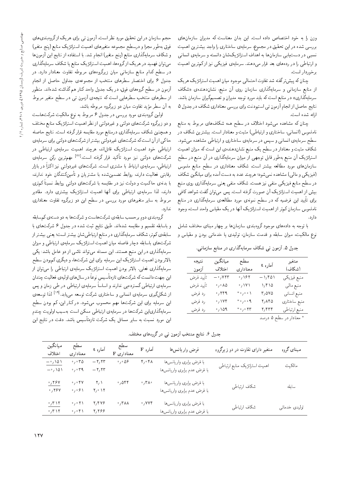وزن را به خود اختصاص داده است. این بدان معناست که مدیران سازمانهای بررسی شده در این تحقیق در مجموع، سرمایهی ساختاری را واجد بیشترین اهمیت نسبی در دست یابی سازمانها به اهداف استراتزیکشان دانسته و سرمایهی انسانی و ارتباطی را در ردههای بعد قرار میدهند. سرمایهی فیزیکی نیز از کمترین اهمیت برخوردار است.

چنان که پیش ترگفته شد تفاوت احتمالی موجود میان اهمیت استراتژیک هریک از منابع سازمانی و سرمایهگذاری سازمان روی آن منبع، نشاندهنده ی «شکاف سرمایهگذاری» در منابع است که باید مورد توجه مدیران و تصمیمگیران سازمان باشد. نتايج حاصل از انجام آزمون تي استيودنت براي بررسي معناداري شكاف در جدول ۵ ارائه شده است.

چنان که مشاهده میشود اختلاف در سطح همه شکافهای مربوط به منابع ناملموس (انسانی، ساختاری و ارتباطی) مثبت و معنادار است. بیشترین شکاف در سطح سرمایهی انسانی و سپس در سرمایهی ساختاری و ارتباطی مشاهده میشود. شکاف مثبت و معنادار در سطح یک منبع نشاندهندهی این است که میزان اهمیت استراتژیک آن منبع بهطور قابل توجهی از میزان سرمایهگذاری در آن منبع در سطح سازمانهای مورد مطالعه بیشتر است. شکاف معناداری در سطح منابع ملموس (فیزیکی و مالی) مشاهده نمیشود؛ هرچند عدد به دست آمده برای میانگین شکاف در سطح منابع فیزیکی منفی نیز هست. شکاف منفی یعنی سرمایهگذاری روی منبع بیش از اهمیت استراتژیک آن صورت گرفته است. پس می توان گفت شواهد کافی برای تأیید این فرضیه که در سطح نمونهی مورد مطالعهی سرمایهگذاری در منابع ناملموس سازمان کم تر از اهمیت استراتژیک آنها در یک مقیاس واحد است، وجود دارد.

با توجه به دادههای موجود گروهبندی سازمانها بر چهار مبنای مختلف شامل نوع مالکیت، میزان سابقه و قدمت سازمان، تولیدی یا خدماتی بودن و مقیاس و

جدول ۵. آزمون تی شکاف سرمایهگذاری در منابع سازمانی.

| نتيجه     | ميانگين                                                   | سطح                                              |              | متغير                   |
|-----------|-----------------------------------------------------------|--------------------------------------------------|--------------|-------------------------|
| أزمون     | اختلاف                                                    | معنادارى                                         | آماره t      | (شكاف)                  |
| تأييد فرض | $-$ °/Y۲۳                                                 | $\mathcal{O}_f$ 167                              | $-\sqrt{60}$ | منبع فيزيكي             |
| تأييد فرض | $\ensuremath{^\circ}/\ensuremath{^\circ}$<br>A $\Diamond$ | $\mathcal{O}_f$ \Y\                              | 1/10         | منبع مالی               |
| رد فرض    | $^\circ$ , ۲۴۹                                            | $*$ $\circ$ $\wedge$ $\circ$ $\wedge$            | ۳٬۵۷۵        | منبع انساني             |
| رد فرض    | $\cdot$ / ۱۷۴                                             | * $^{\circ}$ / $^{\circ}$ $^{\circ}$ 9           | ۲٬۸۴۵        | منبع ساختارى            |
| رد فرض    | $\cdot$ , 109                                             | $^*$ $\circ$ $\gamma$ $\circ$ $\Upsilon\Upsilon$ | ۲٫۴۳۴        | منبع ارتباطي            |
|           |                                                           |                                                  |              | * معنادان در سطح ۵ درصد |

و همچنین شکاف سرمایهگذاری درمنابع مورد مقایسه قرارگرفته است. نتایج حاصله حاکی از آن است که شرکت های غیردولتی بیشتر از شرکت های دولتی برای سرمایهی ارتباطی خود اهمیت استراتزیک قائلاند، هرچند اهمیت سرمایهی ارتباطی در شرکتهای دولت<sub>ی</sub> نیز مورد تأکید قرار گرفته است.<sup>[۳۲]</sup> مهمترین رکن سرمایهی ارتباطی، سرمایهی ارتباط با مشتری است. شرکتهای غیردولتبی نیز اکثراً در بازار رقابتی فعالیت دارند، روابط تضمینشده با مشتریان و تأمینکنندگان خود ندارند، با بدنهى حاكميت و دولت نيز در مقايسه با شركتهاى دولتى روابط نسبتاً كم,ترى دارند، لذا سرمایهی ارتباطی برای آنها اهمیت استراتزیک بیشتری دارد. مقادیر مربوط به سایر متغیرهای مورد بررسی در سطح این دو زیرگروه تفاوت معناداری ندارد. گروهبندي دوم برحسب سابقهي شركت هاست و شركت ها به دو دستهي كمسابقه

حجم سازمان در این تحقیق مورد نظر است. آزمون تی برای هر یک از گروهبندی های

فوق بهطور مجزا و درسطح مجموعه متغيرهاى اهميت استراتزيك منابع (پنج متغير)

و شکاف سرمایهگذاری منابع (پنج متغیر) انجام شد. با استفاده از نتایج این آزمون ها

میتوان فهمید در هریک ازگروهها، اهمیت استراتژیک منابع یا شکاف سرمایهگذاری

در سطح کدام منابع سازمانی میان زیرگروههای مربوطه تفاوت معنادار دارد. در

جدول ۶ برای اختصار سطرهای منتخب از مجموعهی جداول حاصل از انجام

آزمون در سطح گروههای فوق، در یک جدول واحد کنار هم گذاشته شدهاند. منظور

از سطرهای منتخب سطرهایی است که نتیجهی آزمون تی در سطح متغیر مربوط

اولین گروهبندی مورد بررسی در جدول ۶ مربوط به نوع مالکیت شرکت هاست

و دو زیرگروه شرکتهای دولتی و غیردولتی از نظر اهمیت استراتزیک منابع مختلف

به آن سطر مؤید تفاوت میان دو زیرگروه مربوطه باشد.

و باسابقه تقسیم و مقایسه شدهاند. طبق نتایج ثبت شده در جدول ۶ شرکتهای با سابقهی کم تر، شکاف سرمایهگذاری در منابع ارتباطیشان بیشتر است؛ یعنی بیشتر از شرکتهای باسابقه دچار فاصله میان اهمیت استراتژیک سرمایهی ارتباطی و میزان سرمایهگذاری در این منبع هستند. این مسئله می تواند ناشمی از دو عامل باشد: یکی بالاتربودن اهمیت استراتژیک این سرمایه برای این شرکتها، و دیگری کمبودن سطح سرمایهگذاری فعلی. بالاتر بودن اهمیت استراتژیک سرمایهی ارتباطی را می,توان از این جهت دانست که شرکت های تازهتأسیس نوعاً در سال های اولیهی فعالیت چندان سرمایهی ارتباطی گستردهیی ندارند و اساساً سرمایهی ارتباطی در طی زمان و پس از شکلگیری سرمایهی انسانی و ساختاری شرکت توسعه مییابد.<sup>[۱۹]</sup> لذا توسعهی این سرمایه برای این شرکتها مهم محسوب میشود. در کنار این، کم بودن سطح سرمایهگذاری|ین شرکتها در سرمایهی ارتباطی ممکن است بهسبب اولویت چندم این مورد نسبت به سایر مسائل یک شرکت تازهتأسیس باشد. دقت در نتایج این

| ميانگين<br>اختلاف                                                                      | سطح<br>آماره t<br>معناداری                                       |                                                                              | سطح<br>معناداری F            | آماره F                                    | فرض واريانسها                                            | متغیر دارای نفاوت در دو زیرگروه | مبناي گروه    |
|----------------------------------------------------------------------------------------|------------------------------------------------------------------|------------------------------------------------------------------------------|------------------------------|--------------------------------------------|----------------------------------------------------------|---------------------------------|---------------|
| $-\,{}^\circ/\,{}^\backprime\hskip-1.5pt\Delta\hskip-1.5pt\backslash$<br>$-\gamma$ 101 | $\cdot$ , $\cdot$ $\cdot$ $\circ$<br>$\cdot$ , $\cdot$ $\sim$ 9  | $-\mathsf{Y}_\ell\mathsf{Y}\mathsf{Y}$<br>$-\mathsf{Y},\mathsf{Y}\mathsf{Y}$ | $\cdot$ , $\cdot$ $\Delta$ ۶ | $\mathfrak{r}_1\cdot\mathfrak{r}_\Lambda$  | با فرض برابری واریانس ها<br>با فرض عدم برابری واریانس ها | اهميت استراتژيک منابع ارتباطي   | مالكيت        |
| $\cdot$ , ۲۶۷<br>.794                                                                  | $\circ$ , $\circ$ ۴۷<br>$\cdot$ , $\cdot$ $\cdot$ \              | ۲٫۱<br>۲٫۰ ۱۲                                                                | $\cdot$ , 544                | $\cdot$ /۳۸ $\cdot$                        | با فرض برابرى واريانس ها<br>با فرض عدم برابری واریانس ها | شكاف ارتباطي                    | سابقه         |
| $\cdot$ , $\mathsf{r}$<br>$\cdot$ , $\mathsf{r}$                                       | $\cdot$ , $\cdot$ $\uparrow$ \<br>$\cdot$ , $\cdot$ $\uparrow$ \ | ۲٫۴۷۶<br>2971                                                                | $\cdot$ , $\mathsf{r}$ a a   | $\cdot$ , $\mathsf{v}\mathsf{v}\mathsf{r}$ | با فرض برابری واریانس ها<br>با فرض عدم برابری واریانس ها | شكاف ارتباطي                    | توليدى خدماتى |

جدول ۶. نتایج منتخب آزمون تبی درگروههای مختلف.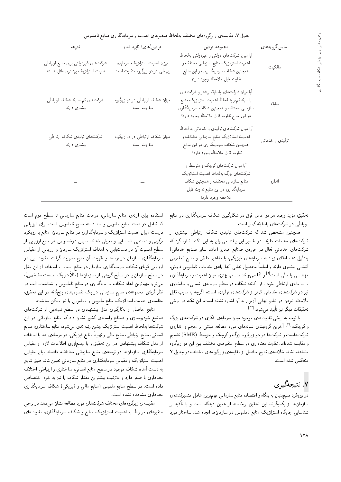جدول ۷. مقایسه ی زیرگروههای مختلف بهلحاظ متغیرهای اهمیت و سرمایهگذاری منابع ناملموس.

| نتيجه                                                                                                                                                                                                                                | فرض(های) تأیید شده                                                 | مجموعه فرض                                                                                                                                                                     | اساس گروهبندي   |
|--------------------------------------------------------------------------------------------------------------------------------------------------------------------------------------------------------------------------------------|--------------------------------------------------------------------|--------------------------------------------------------------------------------------------------------------------------------------------------------------------------------|-----------------|
| شرکت های غیردولتبی برای منابع ارتباطی<br>اهمیت استراتژیک بیشتری قائل هستند.                                                                                                                                                          | میزان اهمیت استراتژیک سرمایهی<br>ارتباطی در دو زیرگروه متفاوت است. | أيا ميان شركتهاى دولتى و غيردولتى بهلحاظ<br>اهمیت استراتژیک منابع سازمانی مختلف و<br>همچنین شکاف سرمایهگذاری در این منابع<br>تفاوت قابل ملاحظه وجود دارد؟                      | مالكيت          |
| شرکت های کم سابقه شکاف ارتباطی<br>بیشتری دارند.                                                                                                                                                                                      | میزان شکاف ارتباطی در دو زیرگروه<br>متفاوت است.                    | أیا میان شرکتهای باسابقه بیشتر و شرکتهای<br>باسابقه کمهتر به لحاظ اهمیت استراتژیک منابع<br>سازمانی مختلف و همچنین شکاف سرمایهگذاری<br>دراين منابع تفاوت قابل ملاحظه وجود دارد؟ | سابقه           |
| شركت هاى توليدى شكاف ارتباطي<br>بیشتری دارند.                                                                                                                                                                                        | میزان شکاف ارتباطی در دو زیرگروه<br>متفاوت است.                    | أیا میان شرکت های تولیدی و خدماتی به لحاظ<br>اهمیت استراتژیک منابع سازمانی مختلف و<br>همچنین شکاف سرمایهگذاری در این منابع<br>تفاوت قابل ملاحظه وجود دارد؟                     | توليدي و خدماتي |
| $\frac{1}{2}$ and $\frac{1}{2}$ . The set of the set of the set of the set of the set of the set of the set of the set of the set of the set of the set of the set of the set of the set of the set of the set of the set of the set |                                                                    | آیا میان شرکتهای کوچک و متوسط و<br>شرکت های بزرگ بهلحاظ اهمیت استراتژیک<br>منابع سازمانى مختلف و همچنین شکاف<br>سرمایهگذاری در این منابع تفاوت قابل<br>ملاحظه وجود دارد؟       | اندازه          |

تحقیق، مؤید وجود هر دو عامل فوق در شکلگیری شکاف سرمایهگذاری در منابع<br>ایتما ا .<br>. ارتباطی در شرکت های باسابقه کم تر است.<br>.

همچنین مشخص شد که شرکتهای تولیدی شکاف ارتباطی بیشتری از شرکتهای خدمات دارند. در تفسیر این یافته میتوان به این نکته اشاره کرد که شرکتهای خدماتی فعال در حوزهی صنایع خودرو (مانند سایر صنایع خدماتی) به دلیل عدم اتکای زیاد به سرمایههای فیزیکی، با مفاهیم دانش و منابع ناملموس آشنایی بیشتری دارند و اساساً محصول نهایی آنها ارائهی خدمات ناملموس فروش، مهندسی یا مالی است<sup>[۱]</sup> و لذا می توانند تناسب بهتری میان اهمیت و سرمایهگذاری بر سرمایهی ارتباطی خود برقرار کنند؛ شکاف در سطح سرمایهی انسانی و ساختاری نیز در شرکتهای خدماتی کم تر از شرکتهای تولیدی است، اگرچه به سبب قابل ملاحظه نبودن در نتایج نهایی أزمون به آن اشاره نشده است. این نکته در برخی تحقيقات ديگر نيز تأييد مىشود.<sup>[۳۳]</sup><br>م

با توجه به برخی تفاوتهای موجود میان سرمایهی فکری در شرکتهای بزرگ |xR=Ov= w sHL Q@ |vD@t xar=]t OQwt |=yxvwtv |Ov@xwQo u} QN; [34] 'lJwm w شرکت&است و شرکت&ا در دو زیرگروه بزرگ و کوچک و متوسط (SME) تقسیم و مقایسه شدهاند. تفاوت معناداری در سطح متغیرهای مختلف بین این دو زیرگروه مشاهده نشد. خلاصهى نتايج حاصل از مقايسهى زيرگروههاى مختلف در جدول ٧ منعكس شده است.

## y. نتيجەگىرى

در رو یکرد منبعبنیان به بنگاه و اقتصاد، منابع سازمانی مهمترین عامل متمایزکننده، سازمانها از یکدیگرند. این تحقیق برخاسته از همین دیدگاه است و با تاکید بر<br>مطالعت التحال است ک شناسایی جایگاه استراتژیک منابع ناملموس در سازمانها انجام شد. ساختار مورد

استفاده براى ارائهى منابع سازمانى، درخت منابع سازمانى تا سطح دوم است كه شامل دو دسته منابع ملموس و سه دسته منابع ناملموس است. براى ارزيابى درست میزان اهمیت استراتژیک و سرمایهگذاری در منابع سازمان، منابع با رویکرد ترکیبی و دستهیی شناسایی و معرفی شدند. سپس درخصوص هر منبع ارزیابی از سطح اهمیت آن در دست،یابی به اهداف استراتژیک سازمان و ارزیابی از مقیاس سرمایهگذاری سازمان در توسعه و تقویت آن منبع صورت گرفت. تفاوت این دو ارزیابی گویای شکاف سرمایهگذاری سازمان در منابع است. با استفاده از این مدل در سطح سازمان یا در سطح گروهی از سازمان۱ها (مثلاً در یک صنعت مشخص)، میتوان مهمترین ابعاد شکاف سرمایهگذاری در منابع ناملموس را شناخت. البته در نظر گرفتن مجموعهى منابع سازمانى در يک تقسيمېندى پنجگانه در اين تحقيق. مقايسه ي اهميت استراتزيک منابع ملموس و ناملموس را نيز ممکن ساخت.

نتایج حاصل از بهکارگیری مدل پیشنهادی در سطح نمونهیی از شرکت های صنایع خودروسازی و صنایع وابستهی کشور نشان داد که منابع سازمانی در این شرکت ها به لحاظ اهمیت استراتژیک چنین رتبهبندی میشود: منابع ساختاری، منابع انسانی، منابع ارتباطی، منابع مالی و نهایتاً منابع فیزیکی. در مرحلهی بعد با استفاده از مدل شکاف پیشنهادی در این تحقیق و با جمعأوری اطلاعات لازم از مقیاس سرمایهگذاری سازمانها در توسعهی منابع سازمانی مختلف، فاصله میان مقیاس اهمیت استراتژیک و مقیاس سرمایهگذاری در منابع سازمانی تعیین شد. طبق نتایج به دست آمده، شکاف موجود در سطح منابع انسانی، ساختاری و ارتباطی اختلاف معناداری با صفر دارد و بهترتیب بیشترین مقدار شکاف را نیز به خود اختصاص داده است. در سطح منابع ملموس (منابع مالی و فیزیکی) شکاف سرمایهگذاری معناداري مشاهده نشده است.

مقایسه ی زیرگروه های مختلف شرکت های مورد مطالعه نشان می دهد در برخی متغیرهای مربوط به اهمیت استراتژیک منابع و شکاف سرمایهگذاری، تفاوتهای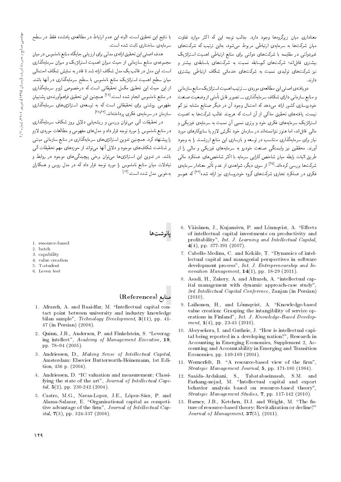معناداری میان زیرگروهها وجود دارد. جالب توجه این که اکثر موارد تفاوت میان شرکتها به سرمایهی ارتباطی مربوط می شود، بهاین ترتیب که شرکتهای غیردولتی در مقایسه با شرکتهای دولتی برای منابع ارتباطی اهمیت استراتژیک بیشتری قائل|ند؛ شرکتهای کم سابقه نسبت به شرکتهای باسابقهی بیشتر و نیز شرکتهای تولیدی نسبت به شرکتهای خدماتی شکاف ارتباطی بیشتری دارند.

دو مافتهی اصلی این مطالعهی موردی -- ترتیب اهمیت استراتژیک منابع سازمانی و منابع سازمانی دارای شکاف سرمایهگذاری ــ تصویر قابل تأملی از وضعیت صنعت .<br>خودروسازی کشور ارائه مبردهد که احتمال وجود آن در دیگر صنایع مشابه نیز کم .<br>نیست. یافتههای تحقیق حاک<sub>می</sub> از آن است که هرچند غالب شرکتها به اهمیت استراتژیک سرمایههای فکری خود و برتری نسببی آن نسبت به سرمایهی فیزیکمی و مالی قائلاند، اما هنوز نتوانستهاند در سازمان خود نگرش لازم یا سازوکارهای مورد نیاز برای سرمایهگذاری متناسب در توسعه و بازسازی این منابع ارزشمند را به وجود .<br>اورند. محققین نیز وابستگی صنعت خودرو به سرمایههای فیزیکی و مالی را از طریق اثبات رابطه میان شاخص کارایی سرمایه با اکثر شاخص های عملکرد مالی شرکتها بررسی کردهاند.<sup>[۳۵]</sup> از سوی دیگر، شواهدی از عدم تأثیر معنادار سرمای*ه*ی .<br>فکری در عملکرد تجاری شرکتهای گروه خودروسازی نیز ارائه شده<sup>[۳۶]</sup> که همسو

با نتايج اين تحقيق است. البته اين عدم ارتباط در مطالعهي يادشده فقط در سطح سرمامهی ساختاری ثابت شده است.

هدف اصلی این تحقیق ارائهی مدلی برای ارزیابی جایگاه منابع ناملموس در میان مجموعهی منابع سازمانی از حیث میزان اهمیت استراتژیک و میزان سرمایهگذاری است. این مدل در قالب یک مدل شکاف ارائه شد تا قادر به نمایش شکاف احتمالی میان سطح اهمیت استراتزیک منابع ناملموس با سطح سرمایهگذاری در آنها باشد. از این حیث این تحقیق مکمل تحقیقاتی است که درخصوص لزوم سرمایهگذاری در منابع ناملموس انجام شده است.<sup>[۲۸]</sup> همچنین این تحقیق فراهمآورنده، پشتیبان مفهومی روشنی برای تحقیقاتی است که به توسعهی استراتژی های سرمایهگذاری سازمان در سرمایه ی فکری پرداختهاند. <sup>[۲۸</sup>٬<sup>۳۷]</sup>

در تحقیقات آتی می توان بررسی و ریشه یابی دلایل بروز شکاف سرمایهگذاری در منابع ناملموس را مورد توجه قرار داد و مدل های مفهومی و مطالعات موردی لازم را پیشنهاد کرد. همچنین تدوین استراتژی های سرمایهگذاری در منابع سازمانی مبتنبی بر شناخت شکافهای موجود و دلایل آنها می تواند از حوزههای مهم تحقیقات آتی باشد. در تدوین این استراتژی ها می توان برخی پیچیدگی های موجود در روابط و تبادلات میان منابع ناملموس را مورد توجه قرار داد که در مدل روس و همکاران بهخوبی مدل شده است.[۱۴]

- 1 resource-based
- 2. batch
- 3. capability
- 4. value creation
- 5. T-student
- 6. Leven test

# منابع (References)

- 1. Afrazeh, A. and Baaidfar, M. "Intellectual capital contact point between university and industry knowledge bilan sample", Technology Development, 3(11), pp. 41-47 (in Persian) (2006).
- 2. Quinn, J.B., Anderson, P. and Finkelstein, S. "Leveraging intellect", Academy of Management Executive, 19, pp. 78-94 (2005).
- 3. Andriessen, D., Making Sense of Intellectual Capital, Amsterdam: Elsevier Butterworth-Heinemann, 1st Edition, 456 p. (2004).
- 4. Andriessen, D. "IC valuation and measurement: Classifying the state of the art", Journal of Intellectual Capital,  $5(2)$ , pp. 230-242 (2004).
- 5. Castro, M.G., Navas-Lopez, J.E., López-Sáez, P. and Alama-Salazar, E. "Organizational capital as competitive advantage of the firm", Journal of Intellectual Cap*ital*,  $7(3)$ , pp. 324-337 (2006).
- 6. Väisänen, J., Kujansivu, P. and Lönnqvist, A. "Effects of intellectual capital investments on productivity and profitability", Int. J. Learning and Intellectual Capital,  $4(4)$ , pp. 377-391 (2007).
- 7. Cabello-Medina, C. and Kekäle, T. "Dynamics of intellectual capital and managerial perspectives in software development process", Int. J. Entrepreneurship and Innovation Management,  $14(1)$ , pp. 18-29 (2011).
- 8. Asadi, H., Zakery, A. and Afrazeh, A. "intellectual capital management with dynamic approach-case study" 3rd Intellectual Capital Conference, Zanjan (in Persian)  $(2010).$
- 9. Laihonen, H., and Lönnqvist, A. "Knowledge-based value creation: Grasping the intangibility of service operations in Finland", Int. J. Knowledge-Based Development,  $1(4)$ , pp. 23-43 (2010).
- 10. Abeysekera, I. and Guthrie, J. "How is intellectual capital being reported in a developing nation?", Research in Accounting in Emerging Economies, Supplement 2, Accounting and Accountability in Emerging and Transition Economies, pp. 149-169 (2004).
- 11. Wernerfelt, B. "A resource-based view of the firm", Strategic Management Journal, 5, pp. 171-180 (1984).
- 12. Saaida-Ardakani, S., Tabatabaeinasab, S.M. and Farhang-nejad, M. "Intellectual capital and export behavior analysis based on resource-based theory", Strategic Management Studies, 7, pp. 117-142 (2010).
- 13. Barney, J.B., Ketchen, D.J. and Wright, M. "The future of resource-based theory: Revitalization or decline?" Journal of Management,  $37(5)$ ,  $(2011)$ .